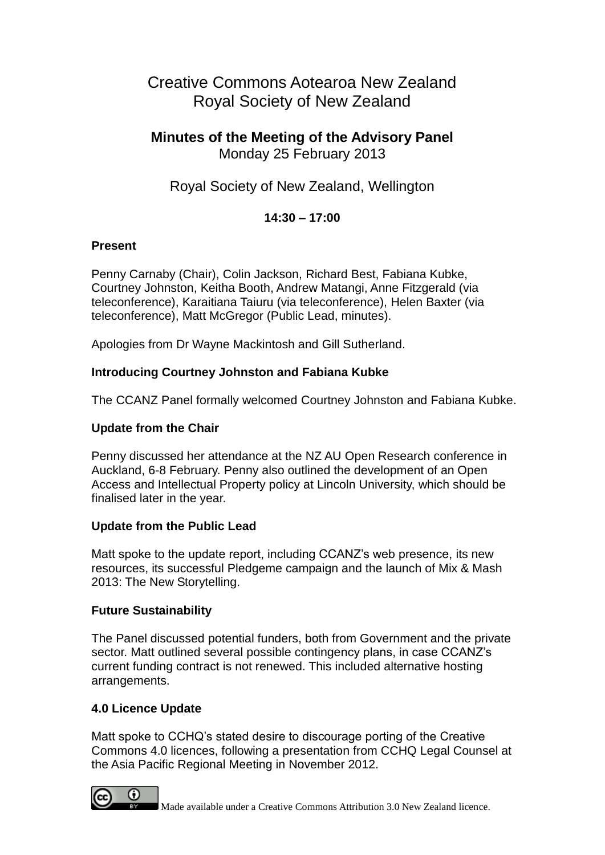# Creative Commons Aotearoa New Zealand Royal Society of New Zealand

### **Minutes of the Meeting of the Advisory Panel** Monday 25 February 2013

## Royal Society of New Zealand, Wellington

#### **14:30 – 17:00**

#### **Present**

Penny Carnaby (Chair), Colin Jackson, Richard Best, Fabiana Kubke, Courtney Johnston, Keitha Booth, Andrew Matangi, Anne Fitzgerald (via teleconference), Karaitiana Taiuru (via teleconference), Helen Baxter (via teleconference), Matt McGregor (Public Lead, minutes).

Apologies from Dr Wayne Mackintosh and Gill Sutherland.

#### **Introducing Courtney Johnston and Fabiana Kubke**

The CCANZ Panel formally welcomed Courtney Johnston and Fabiana Kubke.

#### **Update from the Chair**

Penny discussed her attendance at the NZ AU Open Research conference in Auckland, 6-8 February. Penny also outlined the development of an Open Access and Intellectual Property policy at Lincoln University, which should be finalised later in the year.

#### **Update from the Public Lead**

Matt spoke to the update report, including CCANZ's web presence, its new resources, its successful Pledgeme campaign and the launch of Mix & Mash 2013: The New Storytelling.

#### **Future Sustainability**

The Panel discussed potential funders, both from Government and the private sector. Matt outlined several possible contingency plans, in case CCANZ's current funding contract is not renewed. This included alternative hosting arrangements.

#### **4.0 Licence Update**

Matt spoke to CCHQ's stated desire to discourage porting of the Creative Commons 4.0 licences, following a presentation from CCHQ Legal Counsel at the Asia Pacific Regional Meeting in November 2012.

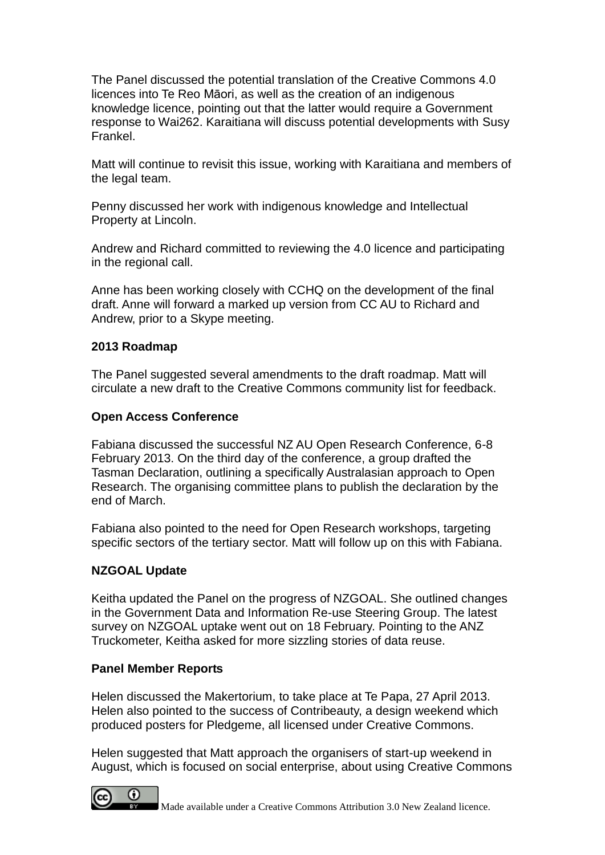The Panel discussed the potential translation of the Creative Commons 4.0 licences into Te Reo Māori, as well as the creation of an indigenous knowledge licence, pointing out that the latter would require a Government response to Wai262. Karaitiana will discuss potential developments with Susy Frankel.

Matt will continue to revisit this issue, working with Karaitiana and members of the legal team.

Penny discussed her work with indigenous knowledge and Intellectual Property at Lincoln.

Andrew and Richard committed to reviewing the 4.0 licence and participating in the regional call.

Anne has been working closely with CCHQ on the development of the final draft. Anne will forward a marked up version from CC AU to Richard and Andrew, prior to a Skype meeting.

#### **2013 Roadmap**

The Panel suggested several amendments to the draft roadmap. Matt will circulate a new draft to the Creative Commons community list for feedback.

#### **Open Access Conference**

Fabiana discussed the successful NZ AU Open Research Conference, 6-8 February 2013. On the third day of the conference, a group drafted the Tasman Declaration, outlining a specifically Australasian approach to Open Research. The organising committee plans to publish the declaration by the end of March.

Fabiana also pointed to the need for Open Research workshops, targeting specific sectors of the tertiary sector. Matt will follow up on this with Fabiana.

#### **NZGOAL Update**

Keitha updated the Panel on the progress of NZGOAL. She outlined changes in the Government Data and Information Re-use Steering Group. The latest survey on NZGOAL uptake went out on 18 February. Pointing to the ANZ Truckometer, Keitha asked for more sizzling stories of data reuse.

#### **Panel Member Reports**

0

Helen discussed the Makertorium, to take place at Te Papa, 27 April 2013. Helen also pointed to the success of Contribeauty, a design weekend which produced posters for Pledgeme, all licensed under Creative Commons.

Helen suggested that Matt approach the organisers of start-up weekend in August, which is focused on social enterprise, about using Creative Commons